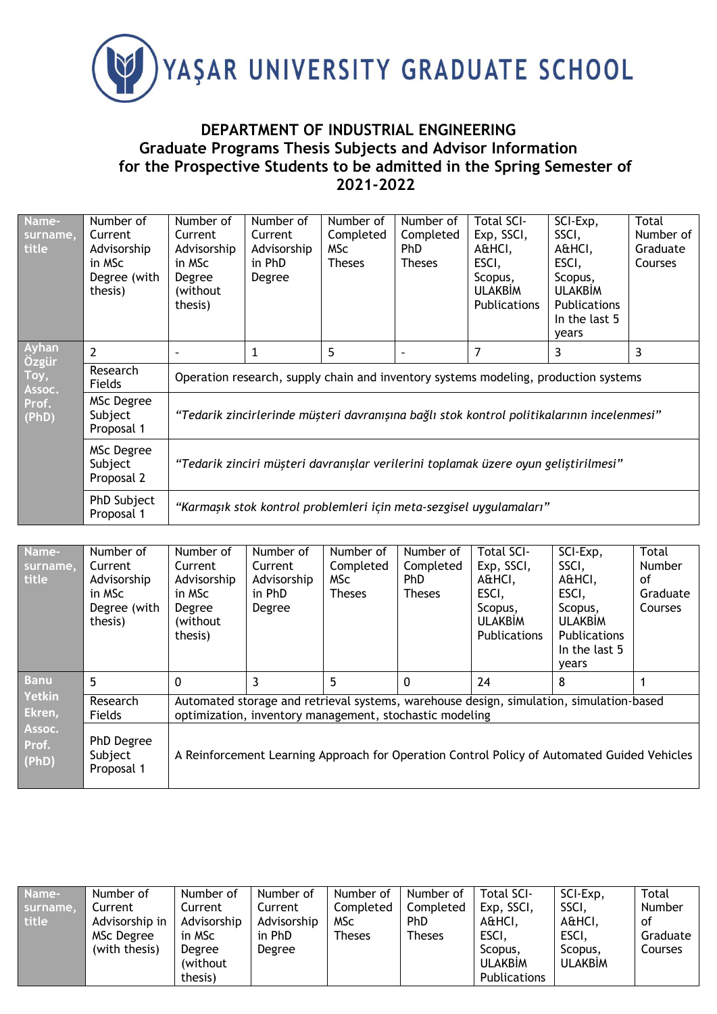

## **DEPARTMENT OF INDUSTRIAL ENGINEERING Graduate Programs Thesis Subjects and Advisor Information for the Prospective Students to be admitted in the Spring Semester of 2021-2022**

| Name-<br>surname,<br>title                         | Number of<br>Current<br>Advisorship<br>in MSc<br>Degree (with<br>thesis) | Number of<br>Current<br>Advisorship<br>in MSc<br>Degree<br>(without)<br>thesis)            | Number of<br>Current<br>Advisorship<br>in PhD<br>Degree | Number of<br>Completed<br><b>MSc</b><br><b>Theses</b> | Number of<br>Completed<br><b>PhD</b><br><b>Theses</b> | <b>Total SCI-</b><br>Exp, SSCI,<br>A&HCI,<br>ESCI,<br>Scopus,<br><b>ULAKBIM</b><br><b>Publications</b> | SCI-Exp,<br>SSCI,<br>A&HCI,<br>ESCI,<br>Scopus,<br><b>ULAKBIM</b><br>Publications<br>In the last 5<br>years | Total<br>Number of<br>Graduate<br>Courses |  |  |
|----------------------------------------------------|--------------------------------------------------------------------------|--------------------------------------------------------------------------------------------|---------------------------------------------------------|-------------------------------------------------------|-------------------------------------------------------|--------------------------------------------------------------------------------------------------------|-------------------------------------------------------------------------------------------------------------|-------------------------------------------|--|--|
| Ayhan<br>Özgür<br>Toy,<br>Assoc.<br>Prof.<br>(PhD) | $\overline{2}$                                                           |                                                                                            | 1                                                       | 5                                                     | $\overline{\phantom{a}}$                              | 7                                                                                                      | 3                                                                                                           | 3                                         |  |  |
|                                                    | Research<br><b>Fields</b>                                                | Operation research, supply chain and inventory systems modeling, production systems        |                                                         |                                                       |                                                       |                                                                                                        |                                                                                                             |                                           |  |  |
|                                                    | MSc Degree<br>Subject<br>Proposal 1                                      | "Tedarik zincirlerinde müşteri davranışına bağlı stok kontrol politikalarının incelenmesi" |                                                         |                                                       |                                                       |                                                                                                        |                                                                                                             |                                           |  |  |
|                                                    | MSc Degree<br>Subject<br>Proposal 2                                      | "Tedarik zinciri müşteri davranışlar verilerini toplamak üzere oyun geliştirilmesi"        |                                                         |                                                       |                                                       |                                                                                                        |                                                                                                             |                                           |  |  |
|                                                    | PhD Subject<br>Proposal 1                                                | "Karmaşık stok kontrol problemleri için meta-sezgisel uygulamaları"                        |                                                         |                                                       |                                                       |                                                                                                        |                                                                                                             |                                           |  |  |

| Name-<br>surname,<br>title                                         | Number of<br>Current<br>Advisorship<br>in MSc<br>Degree (with<br>thesis) | Number of<br>Current<br>Advisorship<br>in MSc<br>Degree<br>(without)<br>thesis)                                                                    | Number of<br>Current<br>Advisorship<br>in PhD<br>Degree | Number of<br>Completed<br>MSc<br><b>Theses</b> | Number of<br>Completed<br>PhD<br><b>Theses</b> | Total SCI-<br>Exp, SSCI,<br>A&HCI,<br>ESCI,<br>Scopus,<br><b>ULAKBIM</b><br><b>Publications</b> | SCI-Exp,<br>SSCI,<br>A&HCI,<br>ESCI,<br>Scopus,<br><b>ULAKBIM</b><br><b>Publications</b><br>In the last 5 | Total<br><b>Number</b><br>οf<br>Graduate<br><b>Courses</b> |  |
|--------------------------------------------------------------------|--------------------------------------------------------------------------|----------------------------------------------------------------------------------------------------------------------------------------------------|---------------------------------------------------------|------------------------------------------------|------------------------------------------------|-------------------------------------------------------------------------------------------------|-----------------------------------------------------------------------------------------------------------|------------------------------------------------------------|--|
| <b>Banu</b><br><b>Yetkin</b><br>Ekren,<br>Assoc.<br>Prof.<br>(PhD) | 5                                                                        | $\Omega$                                                                                                                                           | 3                                                       | 5                                              | 0                                              | 24                                                                                              | vears<br>8                                                                                                |                                                            |  |
|                                                                    | Research<br><b>Fields</b>                                                | Automated storage and retrieval systems, warehouse design, simulation, simulation-based<br>optimization, inventory management, stochastic modeling |                                                         |                                                |                                                |                                                                                                 |                                                                                                           |                                                            |  |
|                                                                    | PhD Degree<br>Subject<br>Proposal 1                                      | A Reinforcement Learning Approach for Operation Control Policy of Automated Guided Vehicles                                                        |                                                         |                                                |                                                |                                                                                                 |                                                                                                           |                                                            |  |

| Name-<br>surname,<br>title | Number of<br>Current<br>Advisorship in<br>MSc Degree<br>(with thesis) | Number of<br>Current<br>Advisorship<br>in MSc<br>Degree | Number of<br>Current<br>Advisorship<br>in PhD<br>Degree | Number of<br>Completed<br><b>MSc</b><br><b>Theses</b> | Number of<br>Completed<br><b>PhD</b><br><b>Theses</b> | Total SCI-<br>Exp, SSCI,<br>A&HCI,<br>ESCI,<br>Scopus. | SCI-Exp,<br>SSCI,<br>A&HCI,<br>ESCI,<br>Scopus. | Total<br>Number<br>0t<br>Graduate<br>Courses |
|----------------------------|-----------------------------------------------------------------------|---------------------------------------------------------|---------------------------------------------------------|-------------------------------------------------------|-------------------------------------------------------|--------------------------------------------------------|-------------------------------------------------|----------------------------------------------|
|                            |                                                                       | (without)<br>thesis)                                    |                                                         |                                                       |                                                       | <b>ULAKBIM</b><br><b>Publications</b>                  | <b>ULAKBIM</b>                                  |                                              |